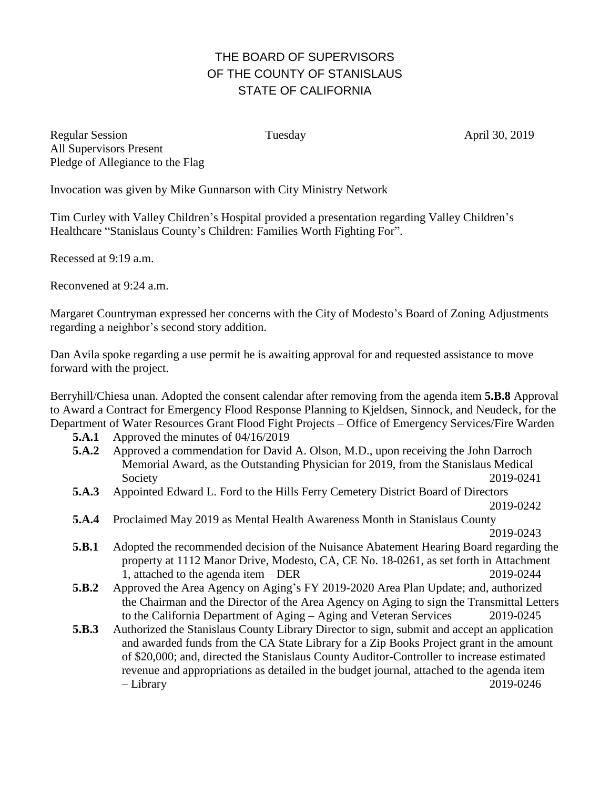## THE BOARD OF SUPERVISORS OF THE COUNTY OF STANISLAUS STATE OF CALIFORNIA

Regular Session Tuesday Tuesday April 30, 2019 All Supervisors Present Pledge of Allegiance to the Flag

Invocation was given by Mike Gunnarson with City Ministry Network

Tim Curley with Valley Children's Hospital provided a presentation regarding Valley Children's Healthcare "Stanislaus County's Children: Families Worth Fighting For".

Recessed at 9:19 a.m.

Reconvened at 9:24 a.m.

Margaret Countryman expressed her concerns with the City of Modesto's Board of Zoning Adjustments regarding a neighbor's second story addition.

Dan Avila spoke regarding a use permit he is awaiting approval for and requested assistance to move forward with the project.

Berryhill/Chiesa unan. Adopted the consent calendar after removing from the agenda item **5.B.8** Approval to Award a Contract for Emergency Flood Response Planning to Kjeldsen, Sinnock, and Neudeck, for the Department of Water Resources Grant Flood Fight Projects – Office of Emergency Services/Fire Warden

- **5.A.1** Approved the minutes of 04/16/2019
- **5.A.2** Approved a commendation for David A. Olson, M.D., upon receiving the John Darroch Memorial Award, as the Outstanding Physician for 2019, from the Stanislaus Medical Society 2019-0241
- **5.A.3** Appointed Edward L. Ford to the Hills Ferry Cemetery District Board of Directors
- 2019-0242 **5.A.4** Proclaimed May 2019 as Mental Health Awareness Month in Stanislaus County
	- 2019-0243
- **5.B.1** Adopted the recommended decision of the Nuisance Abatement Hearing Board regarding the property at 1112 Manor Drive, Modesto, CA, CE No. 18-0261, as set forth in Attachment 1, attached to the agenda item – DER 2019-0244
- **5.B.2** Approved the Area Agency on Aging's FY 2019-2020 Area Plan Update; and, authorized the Chairman and the Director of the Area Agency on Aging to sign the Transmittal Letters to the California Department of Aging – Aging and Veteran Services 2019-0245
- **5.B.3** Authorized the Stanislaus County Library Director to sign, submit and accept an application and awarded funds from the CA State Library for a Zip Books Project grant in the amount of \$20,000; and, directed the Stanislaus County Auditor-Controller to increase estimated revenue and appropriations as detailed in the budget journal, attached to the agenda item – Library 2019-0246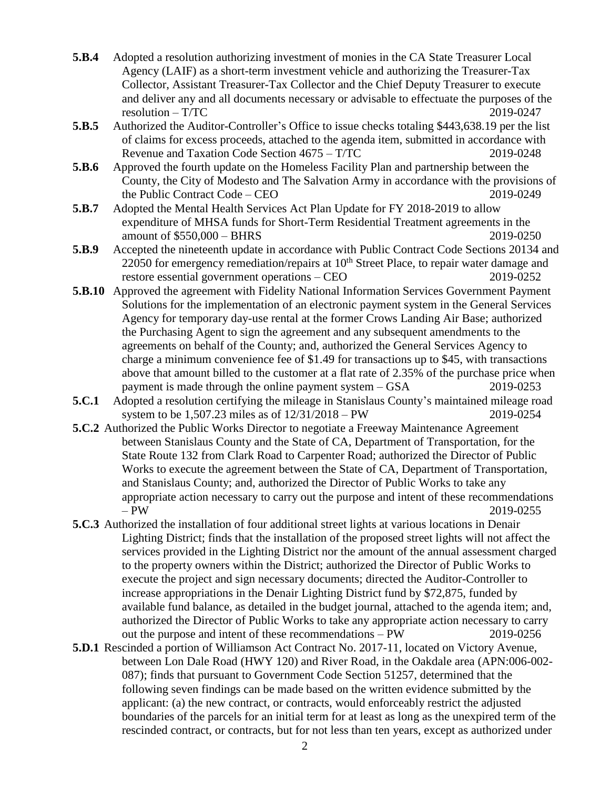- **5.B.4** Adopted a resolution authorizing investment of monies in the CA State Treasurer Local Agency (LAIF) as a short-term investment vehicle and authorizing the Treasurer-Tax Collector, Assistant Treasurer-Tax Collector and the Chief Deputy Treasurer to execute and deliver any and all documents necessary or advisable to effectuate the purposes of the resolution – T/TC 2019-0247
- **5.B.5** Authorized the Auditor-Controller's Office to issue checks totaling \$443,638.19 per the list of claims for excess proceeds, attached to the agenda item, submitted in accordance with Revenue and Taxation Code Section 4675 – T/TC 2019-0248
- **5.B.6** Approved the fourth update on the Homeless Facility Plan and partnership between the County, the City of Modesto and The Salvation Army in accordance with the provisions of the Public Contract Code – CEO 2019-0249
- **5.B.7** Adopted the Mental Health Services Act Plan Update for FY 2018-2019 to allow expenditure of MHSA funds for Short-Term Residential Treatment agreements in the amount of \$550,000 – BHRS 2019-0250
- **5.B.9** Accepted the nineteenth update in accordance with Public Contract Code Sections 20134 and 22050 for emergency remediation/repairs at 10<sup>th</sup> Street Place, to repair water damage and restore essential government operations – CEO 2019-0252
- **5.B.10** Approved the agreement with Fidelity National Information Services Government Payment Solutions for the implementation of an electronic payment system in the General Services Agency for temporary day-use rental at the former Crows Landing Air Base; authorized the Purchasing Agent to sign the agreement and any subsequent amendments to the agreements on behalf of the County; and, authorized the General Services Agency to charge a minimum convenience fee of \$1.49 for transactions up to \$45, with transactions above that amount billed to the customer at a flat rate of 2.35% of the purchase price when payment is made through the online payment system – GSA 2019-0253
- **5.C.1** Adopted a resolution certifying the mileage in Stanislaus County's maintained mileage road system to be 1,507.23 miles as of 12/31/2018 – PW 2019-0254
- **5.C.2** Authorized the Public Works Director to negotiate a Freeway Maintenance Agreement between Stanislaus County and the State of CA, Department of Transportation, for the State Route 132 from Clark Road to Carpenter Road; authorized the Director of Public Works to execute the agreement between the State of CA, Department of Transportation, and Stanislaus County; and, authorized the Director of Public Works to take any appropriate action necessary to carry out the purpose and intent of these recommendations – PW 2019-0255
- **5.C.3** Authorized the installation of four additional street lights at various locations in Denair Lighting District; finds that the installation of the proposed street lights will not affect the services provided in the Lighting District nor the amount of the annual assessment charged to the property owners within the District; authorized the Director of Public Works to execute the project and sign necessary documents; directed the Auditor-Controller to increase appropriations in the Denair Lighting District fund by \$72,875, funded by available fund balance, as detailed in the budget journal, attached to the agenda item; and, authorized the Director of Public Works to take any appropriate action necessary to carry out the purpose and intent of these recommendations – PW 2019-0256
- **5.D.1** Rescinded a portion of Williamson Act Contract No. 2017-11, located on Victory Avenue, between Lon Dale Road (HWY 120) and River Road, in the Oakdale area (APN:006-002- 087); finds that pursuant to Government Code Section 51257, determined that the following seven findings can be made based on the written evidence submitted by the applicant: (a) the new contract, or contracts, would enforceably restrict the adjusted boundaries of the parcels for an initial term for at least as long as the unexpired term of the rescinded contract, or contracts, but for not less than ten years, except as authorized under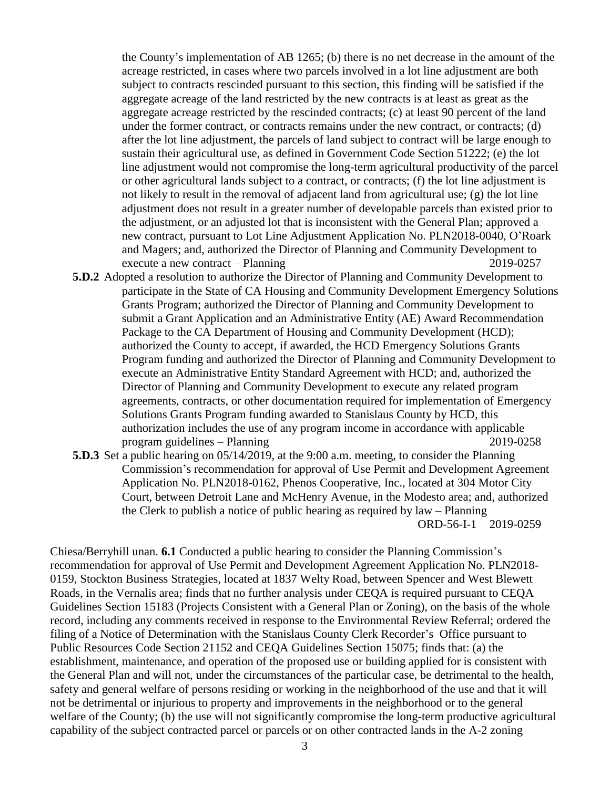the County's implementation of AB 1265; (b) there is no net decrease in the amount of the acreage restricted, in cases where two parcels involved in a lot line adjustment are both subject to contracts rescinded pursuant to this section, this finding will be satisfied if the aggregate acreage of the land restricted by the new contracts is at least as great as the aggregate acreage restricted by the rescinded contracts; (c) at least 90 percent of the land under the former contract, or contracts remains under the new contract, or contracts; (d) after the lot line adjustment, the parcels of land subject to contract will be large enough to sustain their agricultural use, as defined in Government Code Section 51222; (e) the lot line adjustment would not compromise the long-term agricultural productivity of the parcel or other agricultural lands subject to a contract, or contracts; (f) the lot line adjustment is not likely to result in the removal of adjacent land from agricultural use; (g) the lot line adjustment does not result in a greater number of developable parcels than existed prior to the adjustment, or an adjusted lot that is inconsistent with the General Plan; approved a new contract, pursuant to Lot Line Adjustment Application No. PLN2018-0040, O'Roark and Magers; and, authorized the Director of Planning and Community Development to execute a new contract – Planning 2019-0257

- **5.D.2** Adopted a resolution to authorize the Director of Planning and Community Development to participate in the State of CA Housing and Community Development Emergency Solutions Grants Program; authorized the Director of Planning and Community Development to submit a Grant Application and an Administrative Entity (AE) Award Recommendation Package to the CA Department of Housing and Community Development (HCD); authorized the County to accept, if awarded, the HCD Emergency Solutions Grants Program funding and authorized the Director of Planning and Community Development to execute an Administrative Entity Standard Agreement with HCD; and, authorized the Director of Planning and Community Development to execute any related program agreements, contracts, or other documentation required for implementation of Emergency Solutions Grants Program funding awarded to Stanislaus County by HCD, this authorization includes the use of any program income in accordance with applicable program guidelines – Planning 2019-0258
- **5.D.3** Set a public hearing on 05/14/2019, at the 9:00 a.m. meeting, to consider the Planning Commission's recommendation for approval of Use Permit and Development Agreement Application No. PLN2018-0162, Phenos Cooperative, Inc., located at 304 Motor City Court, between Detroit Lane and McHenry Avenue, in the Modesto area; and, authorized the Clerk to publish a notice of public hearing as required by law – Planning ORD-56-I-1 2019-0259

Chiesa/Berryhill unan. **6.1** Conducted a public hearing to consider the Planning Commission's recommendation for approval of Use Permit and Development Agreement Application No. PLN2018- 0159, Stockton Business Strategies, located at 1837 Welty Road, between Spencer and West Blewett Roads, in the Vernalis area; finds that no further analysis under CEQA is required pursuant to CEQA Guidelines Section 15183 (Projects Consistent with a General Plan or Zoning), on the basis of the whole record, including any comments received in response to the Environmental Review Referral; ordered the filing of a Notice of Determination with the Stanislaus County Clerk Recorder's Office pursuant to Public Resources Code Section 21152 and CEQA Guidelines Section 15075; finds that: (a) the establishment, maintenance, and operation of the proposed use or building applied for is consistent with the General Plan and will not, under the circumstances of the particular case, be detrimental to the health, safety and general welfare of persons residing or working in the neighborhood of the use and that it will not be detrimental or injurious to property and improvements in the neighborhood or to the general welfare of the County; (b) the use will not significantly compromise the long-term productive agricultural capability of the subject contracted parcel or parcels or on other contracted lands in the A-2 zoning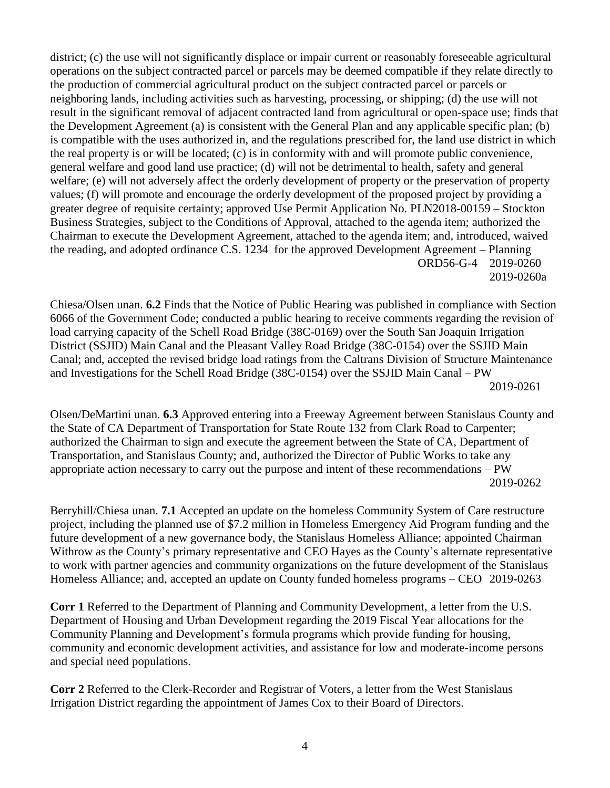district; (c) the use will not significantly displace or impair current or reasonably foreseeable agricultural operations on the subject contracted parcel or parcels may be deemed compatible if they relate directly to the production of commercial agricultural product on the subject contracted parcel or parcels or neighboring lands, including activities such as harvesting, processing, or shipping; (d) the use will not result in the significant removal of adjacent contracted land from agricultural or open-space use; finds that the Development Agreement (a) is consistent with the General Plan and any applicable specific plan; (b) is compatible with the uses authorized in, and the regulations prescribed for, the land use district in which the real property is or will be located; (c) is in conformity with and will promote public convenience, general welfare and good land use practice; (d) will not be detrimental to health, safety and general welfare; (e) will not adversely affect the orderly development of property or the preservation of property values; (f) will promote and encourage the orderly development of the proposed project by providing a greater degree of requisite certainty; approved Use Permit Application No. PLN2018-00159 – Stockton Business Strategies, subject to the Conditions of Approval, attached to the agenda item; authorized the Chairman to execute the Development Agreement, attached to the agenda item; and, introduced, waived the reading, and adopted ordinance C.S. 1234 for the approved Development Agreement – Planning ORD56-G-4 2019-0260 2019-0260a

Chiesa/Olsen unan. **6.2** Finds that the Notice of Public Hearing was published in compliance with Section 6066 of the Government Code; conducted a public hearing to receive comments regarding the revision of load carrying capacity of the Schell Road Bridge (38C-0169) over the South San Joaquin Irrigation District (SSJID) Main Canal and the Pleasant Valley Road Bridge (38C-0154) over the SSJID Main Canal; and, accepted the revised bridge load ratings from the Caltrans Division of Structure Maintenance and Investigations for the Schell Road Bridge (38C-0154) over the SSJID Main Canal – PW 2019-0261

Olsen/DeMartini unan. **6.3** Approved entering into a Freeway Agreement between Stanislaus County and the State of CA Department of Transportation for State Route 132 from Clark Road to Carpenter; authorized the Chairman to sign and execute the agreement between the State of CA, Department of Transportation, and Stanislaus County; and, authorized the Director of Public Works to take any appropriate action necessary to carry out the purpose and intent of these recommendations – PW 2019-0262

Berryhill/Chiesa unan. **7.1** Accepted an update on the homeless Community System of Care restructure project, including the planned use of \$7.2 million in Homeless Emergency Aid Program funding and the future development of a new governance body, the Stanislaus Homeless Alliance; appointed Chairman Withrow as the County's primary representative and CEO Hayes as the County's alternate representative to work with partner agencies and community organizations on the future development of the Stanislaus Homeless Alliance; and, accepted an update on County funded homeless programs – CEO 2019-0263

**Corr 1** Referred to the Department of Planning and Community Development, a letter from the U.S. Department of Housing and Urban Development regarding the 2019 Fiscal Year allocations for the Community Planning and Development's formula programs which provide funding for housing, community and economic development activities, and assistance for low and moderate-income persons and special need populations.

**Corr 2** Referred to the Clerk-Recorder and Registrar of Voters, a letter from the West Stanislaus Irrigation District regarding the appointment of James Cox to their Board of Directors.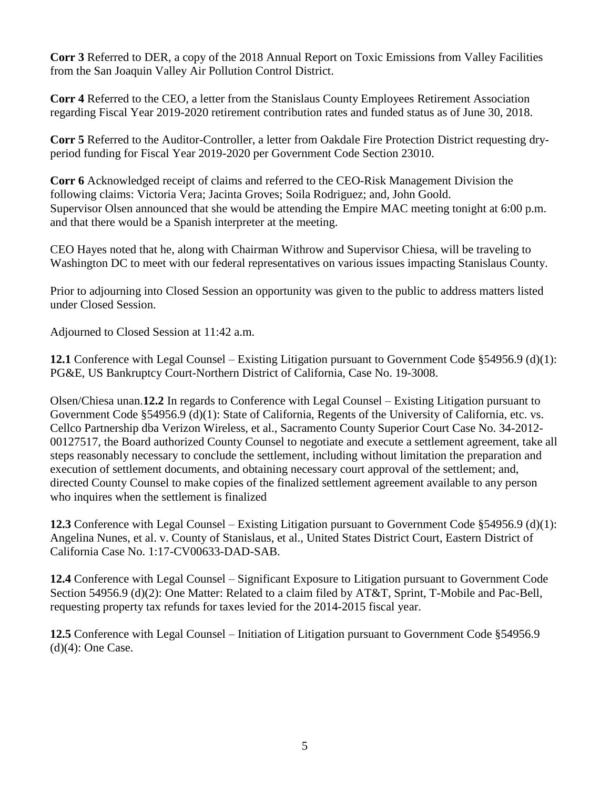**Corr 3** Referred to DER, a copy of the 2018 Annual Report on Toxic Emissions from Valley Facilities from the San Joaquin Valley Air Pollution Control District.

**Corr 4** Referred to the CEO, a letter from the Stanislaus County Employees Retirement Association regarding Fiscal Year 2019-2020 retirement contribution rates and funded status as of June 30, 2018.

**Corr 5** Referred to the Auditor-Controller, a letter from Oakdale Fire Protection District requesting dryperiod funding for Fiscal Year 2019-2020 per Government Code Section 23010.

**Corr 6** Acknowledged receipt of claims and referred to the CEO-Risk Management Division the following claims: Victoria Vera; Jacinta Groves; Soila Rodriguez; and, John Goold. Supervisor Olsen announced that she would be attending the Empire MAC meeting tonight at 6:00 p.m. and that there would be a Spanish interpreter at the meeting.

CEO Hayes noted that he, along with Chairman Withrow and Supervisor Chiesa, will be traveling to Washington DC to meet with our federal representatives on various issues impacting Stanislaus County.

Prior to adjourning into Closed Session an opportunity was given to the public to address matters listed under Closed Session.

Adjourned to Closed Session at 11:42 a.m.

**12.1** Conference with Legal Counsel – Existing Litigation pursuant to Government Code §54956.9 (d)(1): PG&E, US Bankruptcy Court-Northern District of California, Case No. 19-3008.

Olsen/Chiesa unan.**12.2** In regards to Conference with Legal Counsel – Existing Litigation pursuant to Government Code §54956.9 (d)(1): State of California, Regents of the University of California, etc. vs. Cellco Partnership dba Verizon Wireless, et al., Sacramento County Superior Court Case No. 34-2012- 00127517, the Board authorized County Counsel to negotiate and execute a settlement agreement, take all steps reasonably necessary to conclude the settlement, including without limitation the preparation and execution of settlement documents, and obtaining necessary court approval of the settlement; and, directed County Counsel to make copies of the finalized settlement agreement available to any person who inquires when the settlement is finalized

**12.3** Conference with Legal Counsel – Existing Litigation pursuant to Government Code §54956.9 (d)(1): Angelina Nunes, et al. v. County of Stanislaus, et al., United States District Court, Eastern District of California Case No. 1:17-CV00633-DAD-SAB.

**12.4** Conference with Legal Counsel – Significant Exposure to Litigation pursuant to Government Code Section 54956.9 (d)(2): One Matter: Related to a claim filed by AT&T, Sprint, T-Mobile and Pac-Bell, requesting property tax refunds for taxes levied for the 2014-2015 fiscal year.

**12.5** Conference with Legal Counsel – Initiation of Litigation pursuant to Government Code §54956.9  $(d)(4)$ : One Case.